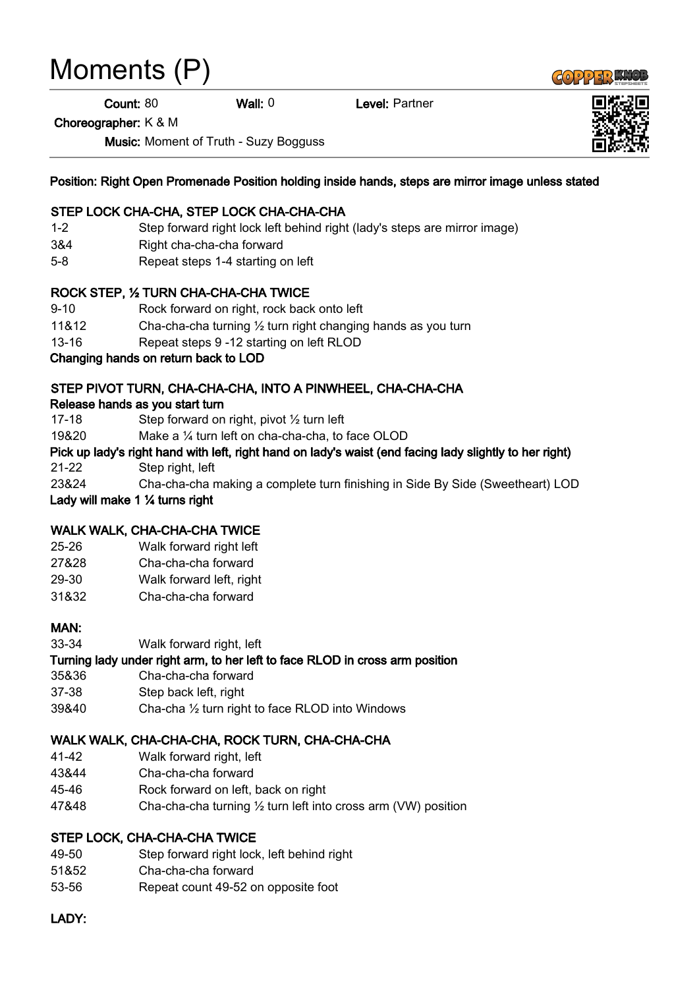# Moments (P)

Count: 80 Wall: 0 Level: Partner

Choreographer: K & M

Music: Moment of Truth - Suzy Bogguss

Position: Right Open Promenade Position holding inside hands, steps are mirror image unless stated

#### STEP LOCK CHA-CHA, STEP LOCK CHA-CHA-CHA

- 1-2 Step forward right lock left behind right (lady's steps are mirror image)
- 3&4 Right cha-cha-cha forward
- 5-8 Repeat steps 1-4 starting on left

#### ROCK STEP, ½ TURN CHA-CHA-CHA TWICE

- 9-10 Rock forward on right, rock back onto left
- 11&12 Cha-cha-cha turning ½ turn right changing hands as you turn
- 13-16 Repeat steps 9 -12 starting on left RLOD

Changing hands on return back to LOD

## STEP PIVOT TURN, CHA-CHA-CHA, INTO A PINWHEEL, CHA-CHA-CHA

#### Release hands as you start turn

- 17-18 Step forward on right, pivot ½ turn left
- 19&20 Make a ¼ turn left on cha-cha-cha, to face OLOD
- Pick up lady's right hand with left, right hand on lady's waist (end facing lady slightly to her right) 21-22 Step right, left
- 23&24 Cha-cha-cha making a complete turn finishing in Side By Side (Sweetheart) LOD

Lady will make 1 ¼ turns right

## WALK WALK, CHA-CHA-CHA TWICE

- 25-26 Walk forward right left
- 27&28 Cha-cha-cha forward
- 29-30 Walk forward left, right
- 31&32 Cha-cha-cha forward

#### MAN:

33-34 Walk forward right, left

## Turning lady under right arm, to her left to face RLOD in cross arm position

- 35&36 Cha-cha-cha forward
- 37-38 Step back left, right
- 39&40 Cha-cha ½ turn right to face RLOD into Windows

## WALK WALK, CHA-CHA-CHA, ROCK TURN, CHA-CHA-CHA

- 41-42 Walk forward right, left
- 43&44 Cha-cha-cha forward
- 45-46 Rock forward on left, back on right
- 47&48 Cha-cha-cha turning ½ turn left into cross arm (VW) position

## STEP LOCK, CHA-CHA-CHA TWICE

- 49-50 Step forward right lock, left behind right
- 51&52 Cha-cha-cha forward
- 53-56 Repeat count 49-52 on opposite foot

## LADY: